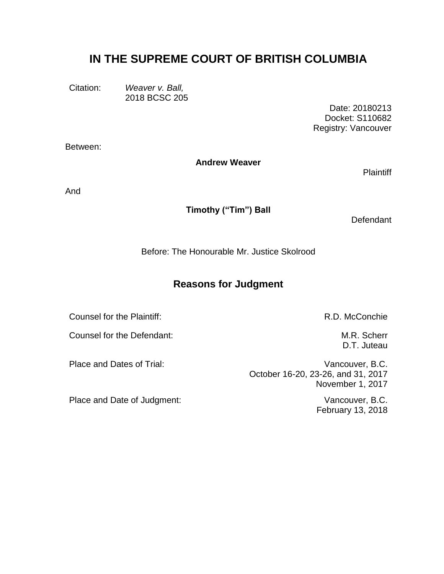# **IN THE SUPREME COURT OF BRITISH COLUMBIA**

Citation: *Weaver v. Ball,* 2018 BCSC 205

Date: 20180213 Docket: S110682 Registry: Vancouver

Between:

**Andrew Weaver**

**Plaintiff** 

And

**Timothy ("Tim") Ball**

**Defendant** 

Before: The Honourable Mr. Justice Skolrood

# **Reasons for Judgment**

Counsel for the Plaintiff: Counsel for the Plaintiff:

Counsel for the Defendant: Counsel for the Defendant:

Place and Date of Judgment: Vancouver, B.C.

D.T. Juteau

Place and Dates of Trial: Vancouver, B.C. October 16-20, 23-26, and 31, 2017 November 1, 2017

February 13, 2018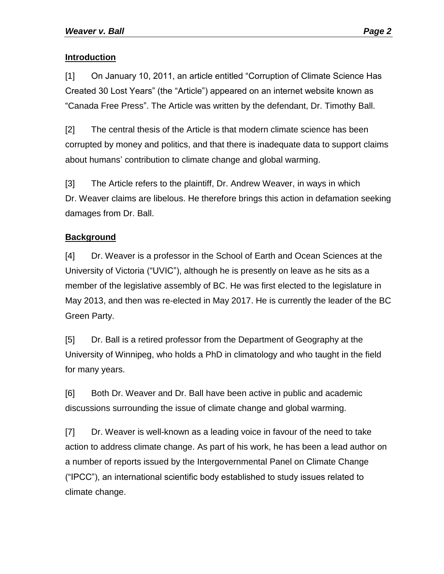# **Introduction**

[1] On January 10, 2011, an article entitled "Corruption of Climate Science Has Created 30 Lost Years" (the "Article") appeared on an internet website known as "Canada Free Press". The Article was written by the defendant, Dr. Timothy Ball.

[2] The central thesis of the Article is that modern climate science has been corrupted by money and politics, and that there is inadequate data to support claims about humans' contribution to climate change and global warming.

[3] The Article refers to the plaintiff, Dr. Andrew Weaver, in ways in which Dr. Weaver claims are libelous. He therefore brings this action in defamation seeking damages from Dr. Ball.

# **Background**

[4] Dr. Weaver is a professor in the School of Earth and Ocean Sciences at the University of Victoria ("UVIC"), although he is presently on leave as he sits as a member of the legislative assembly of BC. He was first elected to the legislature in May 2013, and then was re-elected in May 2017. He is currently the leader of the BC Green Party.

[5] Dr. Ball is a retired professor from the Department of Geography at the University of Winnipeg, who holds a PhD in climatology and who taught in the field for many years.

[6] Both Dr. Weaver and Dr. Ball have been active in public and academic discussions surrounding the issue of climate change and global warming.

[7] Dr. Weaver is well-known as a leading voice in favour of the need to take action to address climate change. As part of his work, he has been a lead author on a number of reports issued by the Intergovernmental Panel on Climate Change ("IPCC"), an international scientific body established to study issues related to climate change.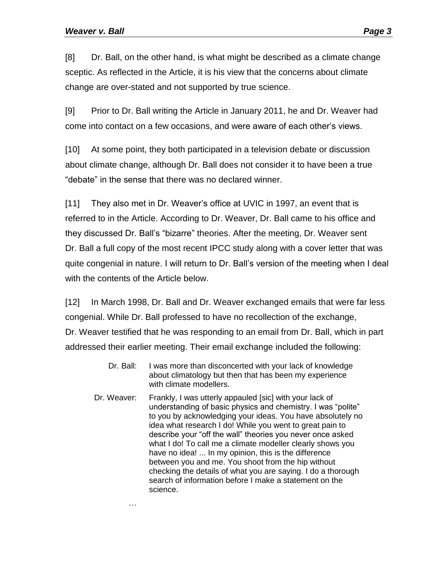[8] Dr. Ball, on the other hand, is what might be described as a climate change sceptic. As reflected in the Article, it is his view that the concerns about climate change are over-stated and not supported by true science.

[9] Prior to Dr. Ball writing the Article in January 2011, he and Dr. Weaver had come into contact on a few occasions, and were aware of each other's views.

[10] At some point, they both participated in a television debate or discussion about climate change, although Dr. Ball does not consider it to have been a true "debate" in the sense that there was no declared winner.

[11] They also met in Dr. Weaver's office at UVIC in 1997, an event that is referred to in the Article. According to Dr. Weaver, Dr. Ball came to his office and they discussed Dr. Ball's "bizarre" theories. After the meeting, Dr. Weaver sent Dr. Ball a full copy of the most recent IPCC study along with a cover letter that was quite congenial in nature. I will return to Dr. Ball's version of the meeting when I deal with the contents of the Article below.

[12] In March 1998, Dr. Ball and Dr. Weaver exchanged emails that were far less congenial. While Dr. Ball professed to have no recollection of the exchange, Dr. Weaver testified that he was responding to an email from Dr. Ball, which in part addressed their earlier meeting. Their email exchange included the following:

- Dr. Ball: I was more than disconcerted with your lack of knowledge about climatology but then that has been my experience with climate modellers.
- Dr. Weaver: Frankly, I was utterly appauled [sic] with your lack of understanding of basic physics and chemistry. I was "polite" to you by acknowledging your ideas. You have absolutely no idea what research I do! While you went to great pain to describe your "off the wall" theories you never once asked what I do! To call me a climate modeller clearly shows you have no idea! ... In my opinion, this is the difference between you and me. You shoot from the hip without checking the details of what you are saying. I do a thorough search of information before I make a statement on the science.

…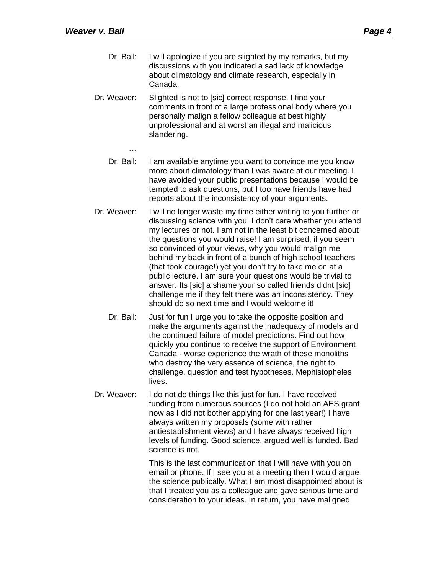…

- Dr. Ball: I will apologize if you are slighted by my remarks, but my discussions with you indicated a sad lack of knowledge about climatology and climate research, especially in Canada.
- Dr. Weaver: Slighted is not to [sic] correct response. I find your comments in front of a large professional body where you personally malign a fellow colleague at best highly unprofessional and at worst an illegal and malicious slandering.
	- Dr. Ball: I am available anytime you want to convince me you know more about climatology than I was aware at our meeting. I have avoided your public presentations because I would be tempted to ask questions, but I too have friends have had reports about the inconsistency of your arguments.
- Dr. Weaver: I will no longer waste my time either writing to you further or discussing science with you. I don't care whether you attend my lectures or not. I am not in the least bit concerned about the questions you would raise! I am surprised, if you seem so convinced of your views, why you would malign me behind my back in front of a bunch of high school teachers (that took courage!) yet you don't try to take me on at a public lecture. I am sure your questions would be trivial to answer. Its [sic] a shame your so called friends didnt [sic] challenge me if they felt there was an inconsistency. They should do so next time and I would welcome it!
	- Dr. Ball: Just for fun I urge you to take the opposite position and make the arguments against the inadequacy of models and the continued failure of model predictions. Find out how quickly you continue to receive the support of Environment Canada - worse experience the wrath of these monoliths who destroy the very essence of science, the right to challenge, question and test hypotheses. Mephistopheles lives.
- Dr. Weaver: I do not do things like this just for fun. I have received funding from numerous sources (I do not hold an AES grant now as I did not bother applying for one last year!) I have always written my proposals (some with rather antiestablishment views) and I have always received high levels of funding. Good science, argued well is funded. Bad science is not.

This is the last communication that I will have with you on email or phone. If I see you at a meeting then I would argue the science publically. What I am most disappointed about is that I treated you as a colleague and gave serious time and consideration to your ideas. In return, you have maligned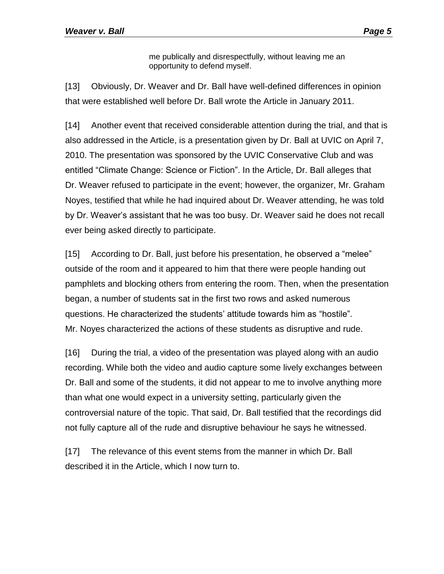me publically and disrespectfully, without leaving me an opportunity to defend myself.

[13] Obviously, Dr. Weaver and Dr. Ball have well-defined differences in opinion that were established well before Dr. Ball wrote the Article in January 2011.

[14] Another event that received considerable attention during the trial, and that is also addressed in the Article, is a presentation given by Dr. Ball at UVIC on April 7, 2010. The presentation was sponsored by the UVIC Conservative Club and was entitled "Climate Change: Science or Fiction". In the Article, Dr. Ball alleges that Dr. Weaver refused to participate in the event; however, the organizer, Mr. Graham Noyes, testified that while he had inquired about Dr. Weaver attending, he was told by Dr. Weaver's assistant that he was too busy. Dr. Weaver said he does not recall ever being asked directly to participate.

[15] According to Dr. Ball, just before his presentation, he observed a "melee" outside of the room and it appeared to him that there were people handing out pamphlets and blocking others from entering the room. Then, when the presentation began, a number of students sat in the first two rows and asked numerous questions. He characterized the students' attitude towards him as "hostile". Mr. Noyes characterized the actions of these students as disruptive and rude.

[16] During the trial, a video of the presentation was played along with an audio recording. While both the video and audio capture some lively exchanges between Dr. Ball and some of the students, it did not appear to me to involve anything more than what one would expect in a university setting, particularly given the controversial nature of the topic. That said, Dr. Ball testified that the recordings did not fully capture all of the rude and disruptive behaviour he says he witnessed.

[17] The relevance of this event stems from the manner in which Dr. Ball described it in the Article, which I now turn to.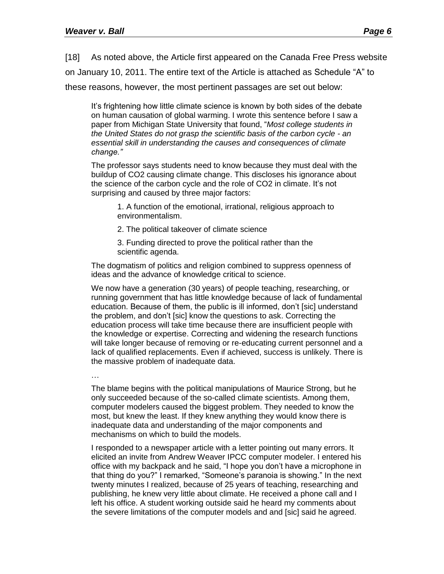[18] As noted above, the Article first appeared on the Canada Free Press website

on January 10, 2011. The entire text of the Article is attached as Schedule "A" to

these reasons, however, the most pertinent passages are set out below:

It's frightening how little climate science is known by both sides of the debate on human causation of global warming. I wrote this sentence before I saw a paper from Michigan State University that found, "*Most college students in the United States do not grasp the scientific basis of the carbon cycle - an essential skill in understanding the causes and consequences of climate change."*

The professor says students need to know because they must deal with the buildup of CO2 causing climate change. This discloses his ignorance about the science of the carbon cycle and the role of CO2 in climate. It's not surprising and caused by three major factors:

1. A function of the emotional, irrational, religious approach to environmentalism.

2. The political takeover of climate science

3. Funding directed to prove the political rather than the scientific agenda.

The dogmatism of politics and religion combined to suppress openness of ideas and the advance of knowledge critical to science.

We now have a generation (30 years) of people teaching, researching, or running government that has little knowledge because of lack of fundamental education. Because of them, the public is ill informed, don't [sic] understand the problem, and don't [sic] know the questions to ask. Correcting the education process will take time because there are insufficient people with the knowledge or expertise. Correcting and widening the research functions will take longer because of removing or re-educating current personnel and a lack of qualified replacements. Even if achieved, success is unlikely. There is the massive problem of inadequate data.

…

The blame begins with the political manipulations of Maurice Strong, but he only succeeded because of the so-called climate scientists. Among them, computer modelers caused the biggest problem. They needed to know the most, but knew the least. If they knew anything they would know there is inadequate data and understanding of the major components and mechanisms on which to build the models.

I responded to a newspaper article with a letter pointing out many errors. It elicited an invite from Andrew Weaver IPCC computer modeler. I entered his office with my backpack and he said, "I hope you don't have a microphone in that thing do you?" I remarked, "Someone's paranoia is showing." In the next twenty minutes I realized, because of 25 years of teaching, researching and publishing, he knew very little about climate. He received a phone call and I left his office. A student working outside said he heard my comments about the severe limitations of the computer models and and [sic] said he agreed.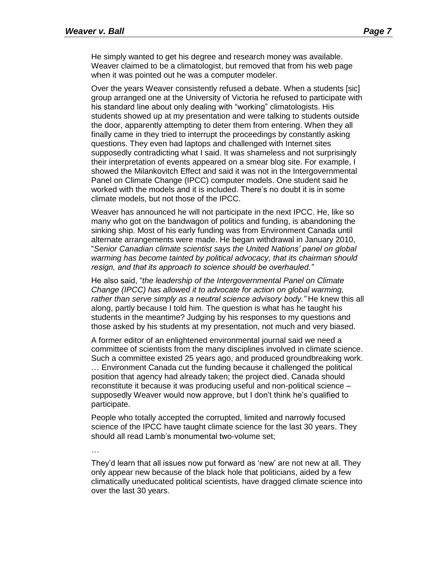He simply wanted to get his degree and research money was available. Weaver claimed to be a climatologist, but removed that from his web page when it was pointed out he was a computer modeler.

Over the years Weaver consistently refused a debate. When a students [sic] group arranged one at the University of Victoria he refused to participate with his standard line about only dealing with "working" climatologists. His students showed up at my presentation and were talking to students outside the door, apparently attempting to deter them from entering. When they all finally came in they tried to interrupt the proceedings by constantly asking questions. They even had laptops and challenged with Internet sites supposedly contradicting what I said. It was shameless and not surprisingly their interpretation of events appeared on a smear blog site. For example, I showed the Milankovitch Effect and said it was not in the Intergovernmental Panel on Climate Change (IPCC) computer models. One student said he worked with the models and it is included. There's no doubt it is in some climate models, but not those of the IPCC.

Weaver has announced he will not participate in the next IPCC. He, like so many who got on the bandwagon of politics and funding, is abandoning the sinking ship. Most of his early funding was from Environment Canada until alternate arrangements were made. He began withdrawal in January 2010, "*Senior Canadian climate scientist says the United Nations' panel on global warming has become tainted by political advocacy, that its chairman should resign, and that its approach to science should be overhauled."*

He also said, "*the leadership of the Intergovernmental Panel on Climate Change (IPCC) has allowed it to advocate for action on global warming, rather than serve simply as a neutral science advisory body."* He knew this all along, partly because I told him. The question is what has he taught his students in the meantime? Judging by his responses to my questions and those asked by his students at my presentation, not much and very biased.

A former editor of an enlightened environmental journal said we need a committee of scientists from the many disciplines involved in climate science. Such a committee existed 25 years ago, and produced groundbreaking work. … Environment Canada cut the funding because it challenged the political position that agency had already taken; the project died. Canada should reconstitute it because it was producing useful and non-political science – supposedly Weaver would now approve, but I don't think he's qualified to participate.

People who totally accepted the corrupted, limited and narrowly focused science of the IPCC have taught climate science for the last 30 years. They should all read Lamb's monumental two-volume set;

…

They'd learn that all issues now put forward as 'new' are not new at all. They only appear new because of the black hole that politicians, aided by a few climatically uneducated political scientists, have dragged climate science into over the last 30 years.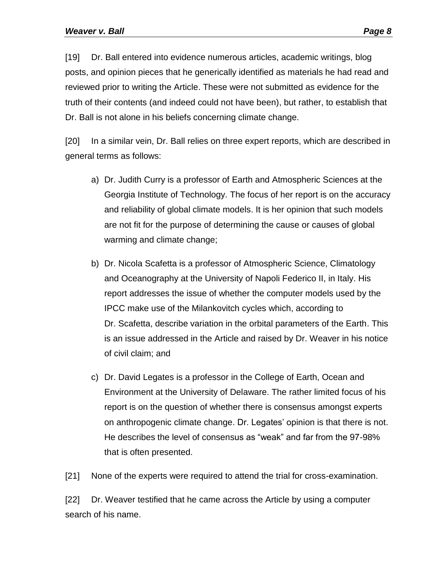[19] Dr. Ball entered into evidence numerous articles, academic writings, blog posts, and opinion pieces that he generically identified as materials he had read and reviewed prior to writing the Article. These were not submitted as evidence for the truth of their contents (and indeed could not have been), but rather, to establish that Dr. Ball is not alone in his beliefs concerning climate change.

[20] In a similar vein, Dr. Ball relies on three expert reports, which are described in general terms as follows:

- a) Dr. Judith Curry is a professor of Earth and Atmospheric Sciences at the Georgia Institute of Technology. The focus of her report is on the accuracy and reliability of global climate models. It is her opinion that such models are not fit for the purpose of determining the cause or causes of global warming and climate change;
- b) Dr. Nicola Scafetta is a professor of Atmospheric Science, Climatology and Oceanography at the University of Napoli Federico II, in Italy. His report addresses the issue of whether the computer models used by the IPCC make use of the Milankovitch cycles which, according to Dr. Scafetta, describe variation in the orbital parameters of the Earth. This is an issue addressed in the Article and raised by Dr. Weaver in his notice of civil claim; and
- c) Dr. David Legates is a professor in the College of Earth, Ocean and Environment at the University of Delaware. The rather limited focus of his report is on the question of whether there is consensus amongst experts on anthropogenic climate change. Dr. Legates' opinion is that there is not. He describes the level of consensus as "weak" and far from the 97-98% that is often presented.

[21] None of the experts were required to attend the trial for cross-examination.

[22] Dr. Weaver testified that he came across the Article by using a computer search of his name.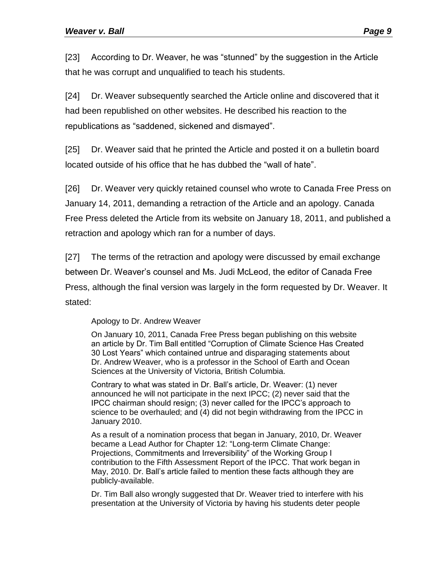[23] According to Dr. Weaver, he was "stunned" by the suggestion in the Article that he was corrupt and unqualified to teach his students.

[24] Dr. Weaver subsequently searched the Article online and discovered that it had been republished on other websites. He described his reaction to the republications as "saddened, sickened and dismayed".

[25] Dr. Weaver said that he printed the Article and posted it on a bulletin board located outside of his office that he has dubbed the "wall of hate".

[26] Dr. Weaver very quickly retained counsel who wrote to Canada Free Press on January 14, 2011, demanding a retraction of the Article and an apology. Canada Free Press deleted the Article from its website on January 18, 2011, and published a retraction and apology which ran for a number of days.

[27] The terms of the retraction and apology were discussed by email exchange between Dr. Weaver's counsel and Ms. Judi McLeod, the editor of Canada Free Press, although the final version was largely in the form requested by Dr. Weaver. It stated:

# Apology to Dr. Andrew Weaver

On January 10, 2011, Canada Free Press began publishing on this website an article by Dr. Tim Ball entitled "Corruption of Climate Science Has Created 30 Lost Years" which contained untrue and disparaging statements about Dr. Andrew Weaver, who is a professor in the School of Earth and Ocean Sciences at the University of Victoria, British Columbia.

Contrary to what was stated in Dr. Ball's article, Dr. Weaver: (1) never announced he will not participate in the next IPCC; (2) never said that the IPCC chairman should resign; (3) never called for the IPCC's approach to science to be overhauled; and (4) did not begin withdrawing from the IPCC in January 2010.

As a result of a nomination process that began in January, 2010, Dr. Weaver became a Lead Author for Chapter 12: "Long-term Climate Change: Projections, Commitments and Irreversibility" of the Working Group I contribution to the Fifth Assessment Report of the IPCC. That work began in May, 2010. Dr. Ball's article failed to mention these facts although they are publicly-available.

Dr. Tim Ball also wrongly suggested that Dr. Weaver tried to interfere with his presentation at the University of Victoria by having his students deter people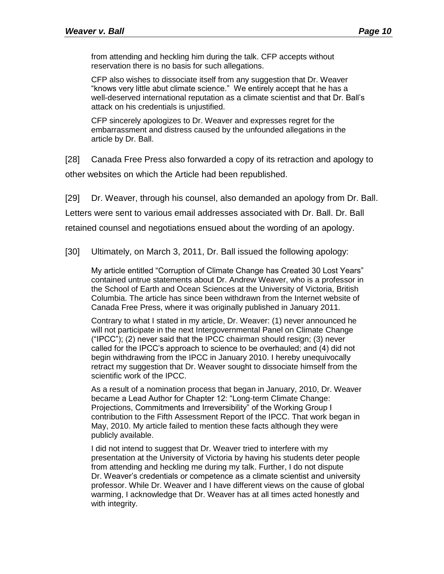from attending and heckling him during the talk. CFP accepts without reservation there is no basis for such allegations.

CFP also wishes to dissociate itself from any suggestion that Dr. Weaver "knows very little abut climate science." We entirely accept that he has a well-deserved international reputation as a climate scientist and that Dr. Ball's attack on his credentials is unjustified.

CFP sincerely apologizes to Dr. Weaver and expresses regret for the embarrassment and distress caused by the unfounded allegations in the article by Dr. Ball.

[28] Canada Free Press also forwarded a copy of its retraction and apology to other websites on which the Article had been republished.

[29] Dr. Weaver, through his counsel, also demanded an apology from Dr. Ball.

Letters were sent to various email addresses associated with Dr. Ball. Dr. Ball

retained counsel and negotiations ensued about the wording of an apology.

[30] Ultimately, on March 3, 2011, Dr. Ball issued the following apology:

My article entitled "Corruption of Climate Change has Created 30 Lost Years" contained untrue statements about Dr. Andrew Weaver, who is a professor in the School of Earth and Ocean Sciences at the University of Victoria, British Columbia. The article has since been withdrawn from the Internet website of Canada Free Press, where it was originally published in January 2011.

Contrary to what I stated in my article, Dr. Weaver: (1) never announced he will not participate in the next Intergovernmental Panel on Climate Change ("IPCC"); (2) never said that the IPCC chairman should resign; (3) never called for the IPCC's approach to science to be overhauled; and (4) did not begin withdrawing from the IPCC in January 2010. I hereby unequivocally retract my suggestion that Dr. Weaver sought to dissociate himself from the scientific work of the IPCC.

As a result of a nomination process that began in January, 2010, Dr. Weaver became a Lead Author for Chapter 12: "Long-term Climate Change: Projections, Commitments and Irreversibility" of the Working Group I contribution to the Fifth Assessment Report of the IPCC. That work began in May, 2010. My article failed to mention these facts although they were publicly available.

I did not intend to suggest that Dr. Weaver tried to interfere with my presentation at the University of Victoria by having his students deter people from attending and heckling me during my talk. Further, I do not dispute Dr. Weaver's credentials or competence as a climate scientist and university professor. While Dr. Weaver and I have different views on the cause of global warming, I acknowledge that Dr. Weaver has at all times acted honestly and with integrity.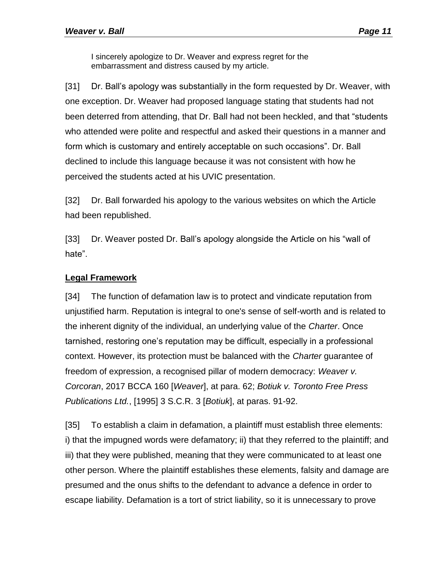I sincerely apologize to Dr. Weaver and express regret for the embarrassment and distress caused by my article.

[31] Dr. Ball's apology was substantially in the form requested by Dr. Weaver, with one exception. Dr. Weaver had proposed language stating that students had not been deterred from attending, that Dr. Ball had not been heckled, and that "students who attended were polite and respectful and asked their questions in a manner and form which is customary and entirely acceptable on such occasions". Dr. Ball declined to include this language because it was not consistent with how he perceived the students acted at his UVIC presentation.

[32] Dr. Ball forwarded his apology to the various websites on which the Article had been republished.

[33] Dr. Weaver posted Dr. Ball's apology alongside the Article on his "wall of hate".

# **Legal Framework**

[34] The function of defamation law is to protect and vindicate reputation from unjustified harm. Reputation is integral to one's sense of self-worth and is related to the inherent dignity of the individual, an underlying value of the *Charter*. Once tarnished, restoring one's reputation may be difficult, especially in a professional context. However, its protection must be balanced with the *Charter* guarantee of freedom of expression, a recognised pillar of modern democracy: *Weaver v. Corcoran*, 2017 BCCA 160 [*Weaver*], at para. 62; *Botiuk v. Toronto Free Press Publications Ltd.*, [1995] 3 S.C.R. 3 [*Botiuk*], at paras. 91-92.

[35] To establish a claim in defamation, a plaintiff must establish three elements: i) that the impugned words were defamatory; ii) that they referred to the plaintiff; and iii) that they were published, meaning that they were communicated to at least one other person. Where the plaintiff establishes these elements, falsity and damage are presumed and the onus shifts to the defendant to advance a defence in order to escape liability. Defamation is a tort of strict liability, so it is unnecessary to prove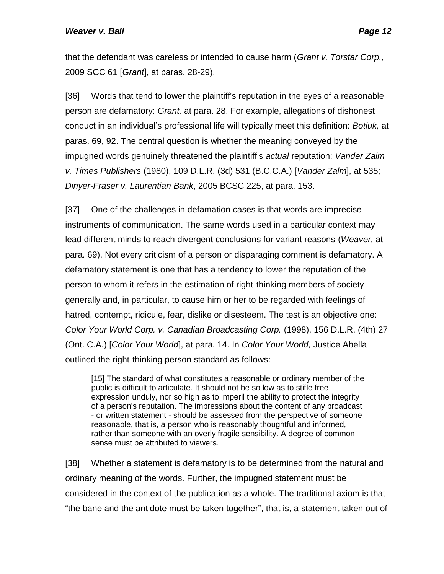that the defendant was careless or intended to cause harm (*Grant v. Torstar Corp.,*  2009 SCC 61 [*Grant*], at paras. 28-29).

[36] Words that tend to lower the plaintiff's reputation in the eyes of a reasonable person are defamatory: *Grant,* at para. 28. For example, allegations of dishonest conduct in an individual's professional life will typically meet this definition: *Botiuk,* at paras. 69, 92. The central question is whether the meaning conveyed by the impugned words genuinely threatened the plaintiff's *actual* reputation: *Vander Zalm v. Times Publishers* (1980), 109 D.L.R. (3d) 531 (B.C.C.A.) [*Vander Zalm*], at 535; *Dinyer-Fraser v. Laurentian Bank*, 2005 BCSC 225, at para. 153.

[37] One of the challenges in defamation cases is that words are imprecise instruments of communication. The same words used in a particular context may lead different minds to reach divergent conclusions for variant reasons (*Weaver,* at para. 69). Not every criticism of a person or disparaging comment is defamatory. A defamatory statement is one that has a tendency to lower the reputation of the person to whom it refers in the estimation of right-thinking members of society generally and, in particular, to cause him or her to be regarded with feelings of hatred, contempt, ridicule, fear, dislike or disesteem. The test is an objective one: *Color Your World Corp. v. Canadian Broadcasting Corp.* (1998), 156 D.L.R. (4th) 27 (Ont. C.A.) [*Color Your World*], at para. 14. In *Color Your World,* Justice Abella outlined the right-thinking person standard as follows:

[15] The standard of what constitutes a reasonable or ordinary member of the public is difficult to articulate. It should not be so low as to stifle free expression unduly, nor so high as to imperil the ability to protect the integrity of a person's reputation. The impressions about the content of any broadcast - or written statement - should be assessed from the perspective of someone reasonable, that is, a person who is reasonably thoughtful and informed, rather than someone with an overly fragile sensibility. A degree of common sense must be attributed to viewers.

[38] Whether a statement is defamatory is to be determined from the natural and ordinary meaning of the words. Further, the impugned statement must be considered in the context of the publication as a whole. The traditional axiom is that "the bane and the antidote must be taken together", that is, a statement taken out of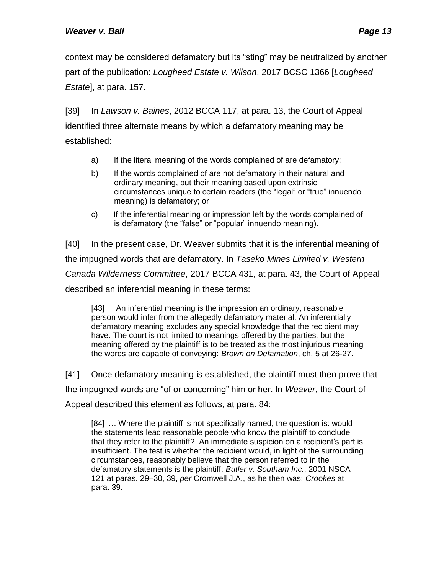context may be considered defamatory but its "sting" may be neutralized by another part of the publication: *Lougheed Estate v. Wilson*, 2017 BCSC 1366 [*Lougheed Estate*], at para. 157.

[39] In *Lawson v. Baines*, 2012 BCCA 117, at para. 13, the Court of Appeal identified three alternate means by which a defamatory meaning may be established:

- a) If the literal meaning of the words complained of are defamatory;
- b) If the words complained of are not defamatory in their natural and ordinary meaning, but their meaning based upon extrinsic circumstances unique to certain readers (the "legal" or "true" innuendo meaning) is defamatory; or
- c) If the inferential meaning or impression left by the words complained of is defamatory (the "false" or "popular" innuendo meaning).

[40] In the present case, Dr. Weaver submits that it is the inferential meaning of the impugned words that are defamatory. In *Taseko Mines Limited v. Western Canada Wilderness Committee*, 2017 BCCA 431, at para. 43, the Court of Appeal described an inferential meaning in these terms:

[43] An inferential meaning is the impression an ordinary, reasonable person would infer from the allegedly defamatory material. An inferentially defamatory meaning excludes any special knowledge that the recipient may have. The court is not limited to meanings offered by the parties, but the meaning offered by the plaintiff is to be treated as the most injurious meaning the words are capable of conveying: *Brown on Defamation*, ch. 5 at 26-27.

[41] Once defamatory meaning is established, the plaintiff must then prove that the impugned words are "of or concerning" him or her. In *Weaver*, the Court of Appeal described this element as follows, at para. 84:

[84] ... Where the plaintiff is not specifically named, the question is: would the statements lead reasonable people who know the plaintiff to conclude that they refer to the plaintiff? An immediate suspicion on a recipient's part is insufficient. The test is whether the recipient would, in light of the surrounding circumstances, reasonably believe that the person referred to in the defamatory statements is the plaintiff: *Butler v. Southam Inc.*, 2001 NSCA 121 at paras. 29‒30, 39, *per* Cromwell J.A., as he then was; *Crookes* at para. 39.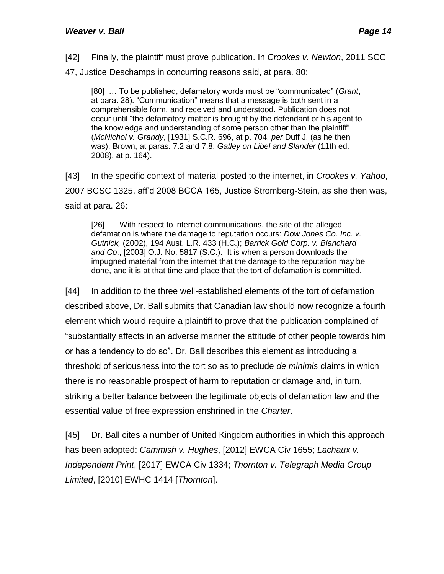[42] Finally, the plaintiff must prove publication. In *Crookes v. Newton*, 2011 SCC 47, Justice Deschamps in concurring reasons said, at para. 80:

[80] … To be published, defamatory words must be "communicated" (*Grant*, at para. 28). "Communication" means that a message is both sent in a comprehensible form, and received and understood. Publication does not occur until "the defamatory matter is brought by the defendant or his agent to the knowledge and understanding of some person other than the plaintiff" (*McNichol v. Grandy*, [1931] S.C.R. 696, at p. 704, *per* Duff J. (as he then was); Brown, at paras. 7.2 and 7.8; *Gatley on Libel and Slander* (11th ed. 2008), at p. 164).

[43] In the specific context of material posted to the internet, in *Crookes v. Yahoo*, 2007 BCSC 1325, aff'd 2008 BCCA 165, Justice Stromberg-Stein, as she then was, said at para. 26:

[26] With respect to internet communications, the site of the alleged defamation is where the damage to reputation occurs: *Dow Jones Co. Inc. v. Gutnick,* (2002), 194 Aust. L.R. 433 (H.C.); *Barrick Gold Corp. v. Blanchard and Co*., [2003] O.J. No. 5817 (S.C.). It is when a person downloads the impugned material from the internet that the damage to the reputation may be done, and it is at that time and place that the tort of defamation is committed.

[44] In addition to the three well-established elements of the tort of defamation described above, Dr. Ball submits that Canadian law should now recognize a fourth element which would require a plaintiff to prove that the publication complained of "substantially affects in an adverse manner the attitude of other people towards him or has a tendency to do so". Dr. Ball describes this element as introducing a threshold of seriousness into the tort so as to preclude *de minimis* claims in which there is no reasonable prospect of harm to reputation or damage and, in turn, striking a better balance between the legitimate objects of defamation law and the essential value of free expression enshrined in the *Charter*.

[45] Dr. Ball cites a number of United Kingdom authorities in which this approach has been adopted: *Cammish v. Hughes*, [2012] EWCA Civ 1655; *Lachaux v. Independent Print*, [2017] EWCA Civ 1334; *Thornton v. Telegraph Media Group Limited*, [2010] EWHC 1414 [*Thornton*].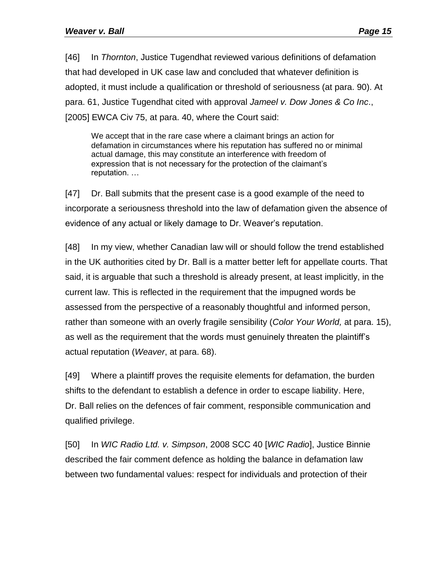[46] In *Thornton*, Justice Tugendhat reviewed various definitions of defamation that had developed in UK case law and concluded that whatever definition is adopted, it must include a qualification or threshold of seriousness (at para. 90). At para. 61, Justice Tugendhat cited with approval *Jameel v. Dow Jones & Co Inc*., [2005] EWCA Civ 75, at para. 40, where the Court said:

We accept that in the rare case where a claimant brings an action for defamation in circumstances where his reputation has suffered no or minimal actual damage, this may constitute an interference with freedom of expression that is not necessary for the protection of the claimant's reputation. …

[47] Dr. Ball submits that the present case is a good example of the need to incorporate a seriousness threshold into the law of defamation given the absence of evidence of any actual or likely damage to Dr. Weaver's reputation.

[48] In my view, whether Canadian law will or should follow the trend established in the UK authorities cited by Dr. Ball is a matter better left for appellate courts. That said, it is arguable that such a threshold is already present, at least implicitly, in the current law. This is reflected in the requirement that the impugned words be assessed from the perspective of a reasonably thoughtful and informed person, rather than someone with an overly fragile sensibility (*Color Your World,* at para. 15), as well as the requirement that the words must genuinely threaten the plaintiff's actual reputation (*Weaver*, at para. 68).

[49] Where a plaintiff proves the requisite elements for defamation, the burden shifts to the defendant to establish a defence in order to escape liability. Here, Dr. Ball relies on the defences of fair comment, responsible communication and qualified privilege.

[50] In *WIC Radio Ltd. v. Simpson*, 2008 SCC 40 [*WIC Radio*], Justice Binnie described the fair comment defence as holding the balance in defamation law between two fundamental values: respect for individuals and protection of their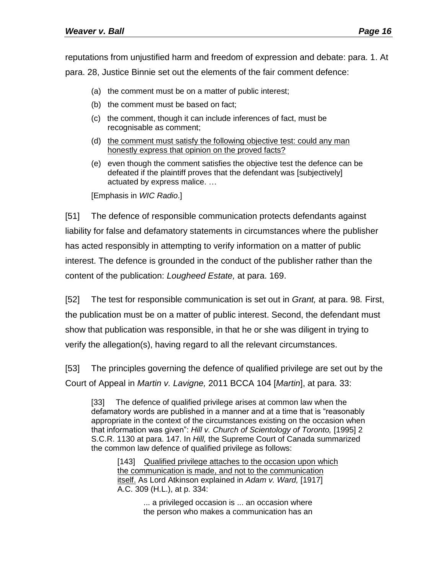reputations from unjustified harm and freedom of expression and debate: para. 1. At para. 28, Justice Binnie set out the elements of the fair comment defence:

- (a) the comment must be on a matter of public interest;
- (b) the comment must be based on fact;
- (c) the comment, though it can include inferences of fact, must be recognisable as comment;
- (d) the comment must satisfy the following objective test: could any man honestly express that opinion on the proved facts?
- (e) even though the comment satisfies the objective test the defence can be defeated if the plaintiff proves that the defendant was [subjectively] actuated by express malice. …

[Emphasis in *WIC Radio*.]

[51] The defence of responsible communication protects defendants against liability for false and defamatory statements in circumstances where the publisher has acted responsibly in attempting to verify information on a matter of public interest. The defence is grounded in the conduct of the publisher rather than the content of the publication: *Lougheed Estate,* at para. 169.

[52] The test for responsible communication is set out in *Grant,* at para. 98*.* First, the publication must be on a matter of public interest. Second, the defendant must show that publication was responsible, in that he or she was diligent in trying to verify the allegation(s), having regard to all the relevant circumstances.

[53] The principles governing the defence of qualified privilege are set out by the Court of Appeal in *Martin v. Lavigne,* 2011 BCCA 104 [*Martin*], at para. 33:

[33] The defence of qualified privilege arises at common law when the defamatory words are published in a manner and at a time that is "reasonably appropriate in the context of the circumstances existing on the occasion when that information was given": *Hill v. Church of Scientology of Toronto,* [1995] 2 S.C.R. 1130 at para. 147. In *Hill,* the Supreme Court of Canada summarized the common law defence of qualified privilege as follows:

[143] Qualified privilege attaches to the occasion upon which the communication is made, and not to the communication itself. As Lord Atkinson explained in *Adam v. Ward,* [1917] A.C. 309 (H.L.), at p. 334:

> ... a privileged occasion is ... an occasion where the person who makes a communication has an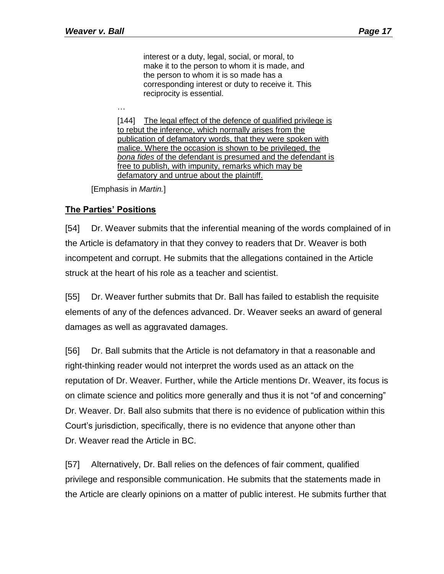interest or a duty, legal, social, or moral, to make it to the person to whom it is made, and the person to whom it is so made has a corresponding interest or duty to receive it. This reciprocity is essential.

…

[144] The legal effect of the defence of qualified privilege is to rebut the inference, which normally arises from the publication of defamatory words, that they were spoken with malice. Where the occasion is shown to be privileged, the *bona fides* of the defendant is presumed and the defendant is free to publish, with impunity, remarks which may be defamatory and untrue about the plaintiff.

[Emphasis in *Martin.*]

# **The Parties' Positions**

[54] Dr. Weaver submits that the inferential meaning of the words complained of in the Article is defamatory in that they convey to readers that Dr. Weaver is both incompetent and corrupt. He submits that the allegations contained in the Article struck at the heart of his role as a teacher and scientist.

[55] Dr. Weaver further submits that Dr. Ball has failed to establish the requisite elements of any of the defences advanced. Dr. Weaver seeks an award of general damages as well as aggravated damages.

[56] Dr. Ball submits that the Article is not defamatory in that a reasonable and right-thinking reader would not interpret the words used as an attack on the reputation of Dr. Weaver. Further, while the Article mentions Dr. Weaver, its focus is on climate science and politics more generally and thus it is not "of and concerning" Dr. Weaver. Dr. Ball also submits that there is no evidence of publication within this Court's jurisdiction, specifically, there is no evidence that anyone other than Dr. Weaver read the Article in BC.

[57] Alternatively, Dr. Ball relies on the defences of fair comment, qualified privilege and responsible communication. He submits that the statements made in the Article are clearly opinions on a matter of public interest. He submits further that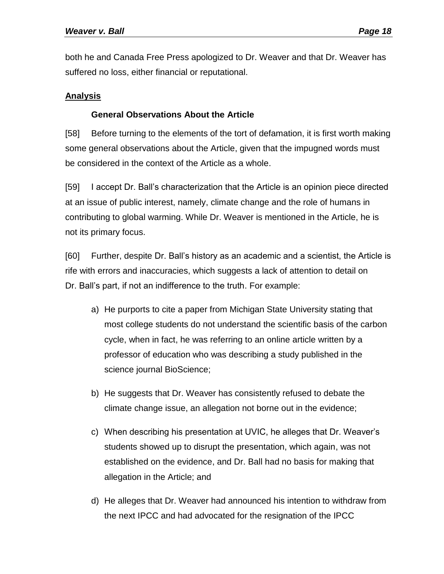both he and Canada Free Press apologized to Dr. Weaver and that Dr. Weaver has suffered no loss, either financial or reputational.

# **Analysis**

# **General Observations About the Article**

[58] Before turning to the elements of the tort of defamation, it is first worth making some general observations about the Article, given that the impugned words must be considered in the context of the Article as a whole.

[59] I accept Dr. Ball's characterization that the Article is an opinion piece directed at an issue of public interest, namely, climate change and the role of humans in contributing to global warming. While Dr. Weaver is mentioned in the Article, he is not its primary focus.

[60] Further, despite Dr. Ball's history as an academic and a scientist, the Article is rife with errors and inaccuracies, which suggests a lack of attention to detail on Dr. Ball's part, if not an indifference to the truth. For example:

- a) He purports to cite a paper from Michigan State University stating that most college students do not understand the scientific basis of the carbon cycle, when in fact, he was referring to an online article written by a professor of education who was describing a study published in the science journal BioScience;
- b) He suggests that Dr. Weaver has consistently refused to debate the climate change issue, an allegation not borne out in the evidence;
- c) When describing his presentation at UVIC, he alleges that Dr. Weaver's students showed up to disrupt the presentation, which again, was not established on the evidence, and Dr. Ball had no basis for making that allegation in the Article; and
- d) He alleges that Dr. Weaver had announced his intention to withdraw from the next IPCC and had advocated for the resignation of the IPCC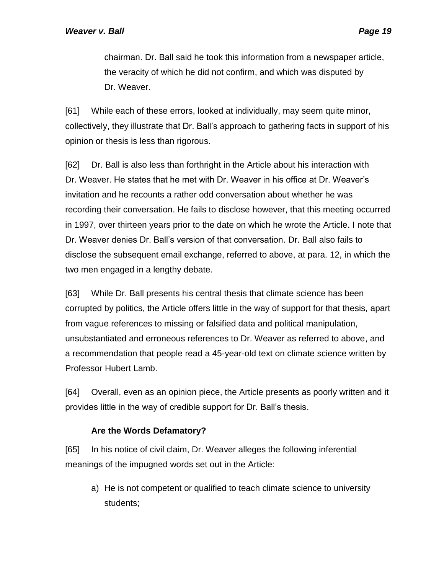chairman. Dr. Ball said he took this information from a newspaper article, the veracity of which he did not confirm, and which was disputed by Dr. Weaver.

[61] While each of these errors, looked at individually, may seem quite minor, collectively, they illustrate that Dr. Ball's approach to gathering facts in support of his opinion or thesis is less than rigorous.

[62] Dr. Ball is also less than forthright in the Article about his interaction with Dr. Weaver. He states that he met with Dr. Weaver in his office at Dr. Weaver's invitation and he recounts a rather odd conversation about whether he was recording their conversation. He fails to disclose however, that this meeting occurred in 1997, over thirteen years prior to the date on which he wrote the Article. I note that Dr. Weaver denies Dr. Ball's version of that conversation. Dr. Ball also fails to disclose the subsequent email exchange, referred to above, at para. 12, in which the two men engaged in a lengthy debate.

[63] While Dr. Ball presents his central thesis that climate science has been corrupted by politics, the Article offers little in the way of support for that thesis, apart from vague references to missing or falsified data and political manipulation, unsubstantiated and erroneous references to Dr. Weaver as referred to above, and a recommendation that people read a 45-year-old text on climate science written by Professor Hubert Lamb.

[64] Overall, even as an opinion piece, the Article presents as poorly written and it provides little in the way of credible support for Dr. Ball's thesis.

# **Are the Words Defamatory?**

[65] In his notice of civil claim, Dr. Weaver alleges the following inferential meanings of the impugned words set out in the Article:

a) He is not competent or qualified to teach climate science to university students;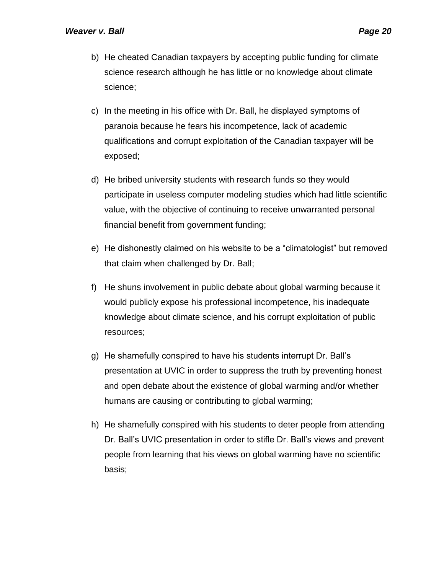- b) He cheated Canadian taxpayers by accepting public funding for climate science research although he has little or no knowledge about climate science;
- c) In the meeting in his office with Dr. Ball, he displayed symptoms of paranoia because he fears his incompetence, lack of academic qualifications and corrupt exploitation of the Canadian taxpayer will be exposed;
- d) He bribed university students with research funds so they would participate in useless computer modeling studies which had little scientific value, with the objective of continuing to receive unwarranted personal financial benefit from government funding;
- e) He dishonestly claimed on his website to be a "climatologist" but removed that claim when challenged by Dr. Ball;
- f) He shuns involvement in public debate about global warming because it would publicly expose his professional incompetence, his inadequate knowledge about climate science, and his corrupt exploitation of public resources;
- g) He shamefully conspired to have his students interrupt Dr. Ball's presentation at UVIC in order to suppress the truth by preventing honest and open debate about the existence of global warming and/or whether humans are causing or contributing to global warming;
- h) He shamefully conspired with his students to deter people from attending Dr. Ball's UVIC presentation in order to stifle Dr. Ball's views and prevent people from learning that his views on global warming have no scientific basis;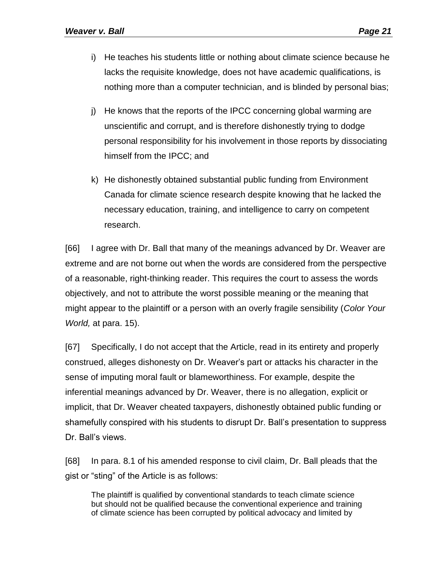- i) He teaches his students little or nothing about climate science because he lacks the requisite knowledge, does not have academic qualifications, is nothing more than a computer technician, and is blinded by personal bias;
- j) He knows that the reports of the IPCC concerning global warming are unscientific and corrupt, and is therefore dishonestly trying to dodge personal responsibility for his involvement in those reports by dissociating himself from the IPCC; and
- k) He dishonestly obtained substantial public funding from Environment Canada for climate science research despite knowing that he lacked the necessary education, training, and intelligence to carry on competent research.

[66] I agree with Dr. Ball that many of the meanings advanced by Dr. Weaver are extreme and are not borne out when the words are considered from the perspective of a reasonable, right-thinking reader. This requires the court to assess the words objectively, and not to attribute the worst possible meaning or the meaning that might appear to the plaintiff or a person with an overly fragile sensibility (*Color Your World,* at para. 15).

[67] Specifically, I do not accept that the Article, read in its entirety and properly construed, alleges dishonesty on Dr. Weaver's part or attacks his character in the sense of imputing moral fault or blameworthiness. For example, despite the inferential meanings advanced by Dr. Weaver, there is no allegation, explicit or implicit, that Dr. Weaver cheated taxpayers, dishonestly obtained public funding or shamefully conspired with his students to disrupt Dr. Ball's presentation to suppress Dr. Ball's views.

[68] In para. 8.1 of his amended response to civil claim, Dr. Ball pleads that the gist or "sting" of the Article is as follows:

The plaintiff is qualified by conventional standards to teach climate science but should not be qualified because the conventional experience and training of climate science has been corrupted by political advocacy and limited by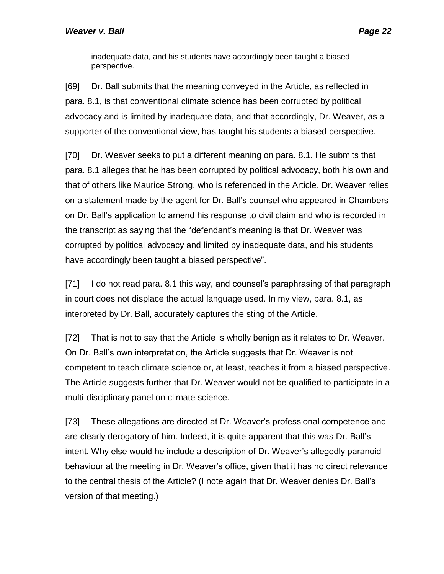inadequate data, and his students have accordingly been taught a biased perspective.

[69] Dr. Ball submits that the meaning conveyed in the Article, as reflected in para. 8.1, is that conventional climate science has been corrupted by political advocacy and is limited by inadequate data, and that accordingly, Dr. Weaver, as a supporter of the conventional view, has taught his students a biased perspective.

[70] Dr. Weaver seeks to put a different meaning on para. 8.1. He submits that para. 8.1 alleges that he has been corrupted by political advocacy, both his own and that of others like Maurice Strong, who is referenced in the Article. Dr. Weaver relies on a statement made by the agent for Dr. Ball's counsel who appeared in Chambers on Dr. Ball's application to amend his response to civil claim and who is recorded in the transcript as saying that the "defendant's meaning is that Dr. Weaver was corrupted by political advocacy and limited by inadequate data, and his students have accordingly been taught a biased perspective".

[71] I do not read para. 8.1 this way, and counsel's paraphrasing of that paragraph in court does not displace the actual language used. In my view, para. 8.1, as interpreted by Dr. Ball, accurately captures the sting of the Article.

[72] That is not to say that the Article is wholly benign as it relates to Dr. Weaver. On Dr. Ball's own interpretation, the Article suggests that Dr. Weaver is not competent to teach climate science or, at least, teaches it from a biased perspective. The Article suggests further that Dr. Weaver would not be qualified to participate in a multi-disciplinary panel on climate science.

[73] These allegations are directed at Dr. Weaver's professional competence and are clearly derogatory of him. Indeed, it is quite apparent that this was Dr. Ball's intent. Why else would he include a description of Dr. Weaver's allegedly paranoid behaviour at the meeting in Dr. Weaver's office, given that it has no direct relevance to the central thesis of the Article? (I note again that Dr. Weaver denies Dr. Ball's version of that meeting.)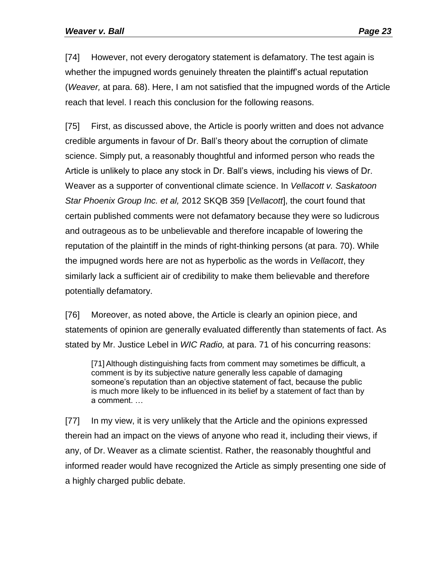[74] However, not every derogatory statement is defamatory. The test again is whether the impugned words genuinely threaten the plaintiff's actual reputation (*Weaver,* at para. 68). Here, I am not satisfied that the impugned words of the Article reach that level. I reach this conclusion for the following reasons.

[75] First, as discussed above, the Article is poorly written and does not advance credible arguments in favour of Dr. Ball's theory about the corruption of climate science. Simply put, a reasonably thoughtful and informed person who reads the Article is unlikely to place any stock in Dr. Ball's views, including his views of Dr. Weaver as a supporter of conventional climate science. In *Vellacott v. Saskatoon Star Phoenix Group Inc. et al,* 2012 SKQB 359 [*Vellacott*], the court found that certain published comments were not defamatory because they were so ludicrous and outrageous as to be unbelievable and therefore incapable of lowering the reputation of the plaintiff in the minds of right-thinking persons (at para. 70). While the impugned words here are not as hyperbolic as the words in *Vellacott*, they similarly lack a sufficient air of credibility to make them believable and therefore potentially defamatory.

[76] Moreover, as noted above, the Article is clearly an opinion piece, and statements of opinion are generally evaluated differently than statements of fact. As stated by Mr. Justice Lebel in *WIC Radio,* at para. 71 of his concurring reasons:

[71] Although distinguishing facts from comment may sometimes be difficult, a comment is by its subjective nature generally less capable of damaging someone's reputation than an objective statement of fact, because the public is much more likely to be influenced in its belief by a statement of fact than by a comment. …

[77] In my view, it is very unlikely that the Article and the opinions expressed therein had an impact on the views of anyone who read it, including their views, if any, of Dr. Weaver as a climate scientist. Rather, the reasonably thoughtful and informed reader would have recognized the Article as simply presenting one side of a highly charged public debate.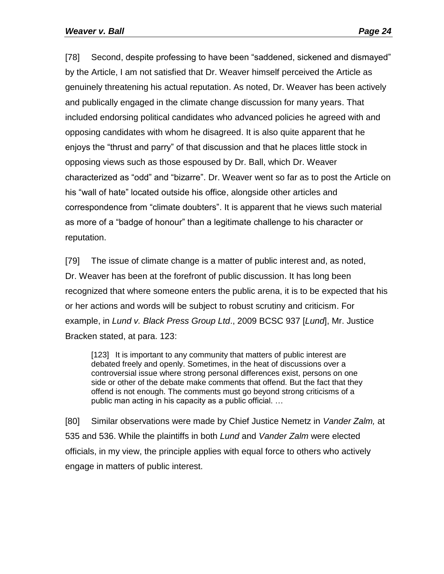[78] Second, despite professing to have been "saddened, sickened and dismayed" by the Article, I am not satisfied that Dr. Weaver himself perceived the Article as genuinely threatening his actual reputation. As noted, Dr. Weaver has been actively and publically engaged in the climate change discussion for many years. That included endorsing political candidates who advanced policies he agreed with and opposing candidates with whom he disagreed. It is also quite apparent that he enjoys the "thrust and parry" of that discussion and that he places little stock in opposing views such as those espoused by Dr. Ball, which Dr. Weaver characterized as "odd" and "bizarre". Dr. Weaver went so far as to post the Article on his "wall of hate" located outside his office, alongside other articles and correspondence from "climate doubters". It is apparent that he views such material as more of a "badge of honour" than a legitimate challenge to his character or reputation.

[79] The issue of climate change is a matter of public interest and, as noted, Dr. Weaver has been at the forefront of public discussion. It has long been recognized that where someone enters the public arena, it is to be expected that his or her actions and words will be subject to robust scrutiny and criticism. For example, in *Lund v. Black Press Group Ltd*., 2009 BCSC 937 [*Lund*], Mr. Justice Bracken stated, at para. 123:

[123] It is important to any community that matters of public interest are debated freely and openly. Sometimes, in the heat of discussions over a controversial issue where strong personal differences exist, persons on one side or other of the debate make comments that offend. But the fact that they offend is not enough. The comments must go beyond strong criticisms of a public man acting in his capacity as a public official. …

[80] Similar observations were made by Chief Justice Nemetz in *Vander Zalm,* at 535 and 536. While the plaintiffs in both *Lund* and *Vander Zalm* were elected officials, in my view, the principle applies with equal force to others who actively engage in matters of public interest.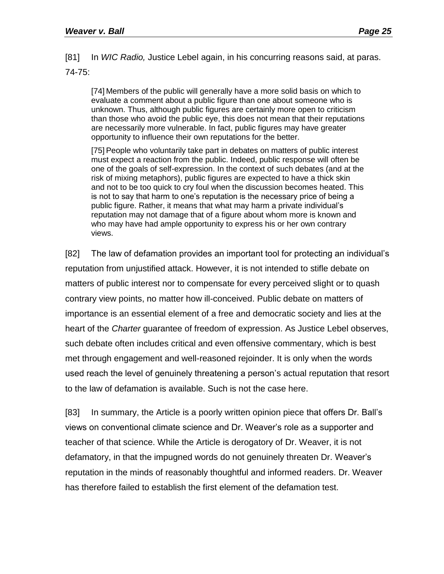[81] In *WIC Radio,* Justice Lebel again, in his concurring reasons said, at paras. 74-75:

[74] Members of the public will generally have a more solid basis on which to evaluate a comment about a public figure than one about someone who is unknown. Thus, although public figures are certainly more open to criticism than those who avoid the public eye, this does not mean that their reputations are necessarily more vulnerable. In fact, public figures may have greater opportunity to influence their own reputations for the better.

[75] People who voluntarily take part in debates on matters of public interest must expect a reaction from the public. Indeed, public response will often be one of the goals of self-expression. In the context of such debates (and at the risk of mixing metaphors), public figures are expected to have a thick skin and not to be too quick to cry foul when the discussion becomes heated. This is not to say that harm to one's reputation is the necessary price of being a public figure. Rather, it means that what may harm a private individual's reputation may not damage that of a figure about whom more is known and who may have had ample opportunity to express his or her own contrary views.

[82] The law of defamation provides an important tool for protecting an individual's reputation from unjustified attack. However, it is not intended to stifle debate on matters of public interest nor to compensate for every perceived slight or to quash contrary view points, no matter how ill-conceived. Public debate on matters of importance is an essential element of a free and democratic society and lies at the heart of the *Charter* guarantee of freedom of expression. As Justice Lebel observes, such debate often includes critical and even offensive commentary, which is best met through engagement and well-reasoned rejoinder. It is only when the words used reach the level of genuinely threatening a person's actual reputation that resort to the law of defamation is available. Such is not the case here.

[83] In summary, the Article is a poorly written opinion piece that offers Dr. Ball's views on conventional climate science and Dr. Weaver's role as a supporter and teacher of that science. While the Article is derogatory of Dr. Weaver, it is not defamatory, in that the impugned words do not genuinely threaten Dr. Weaver's reputation in the minds of reasonably thoughtful and informed readers. Dr. Weaver has therefore failed to establish the first element of the defamation test.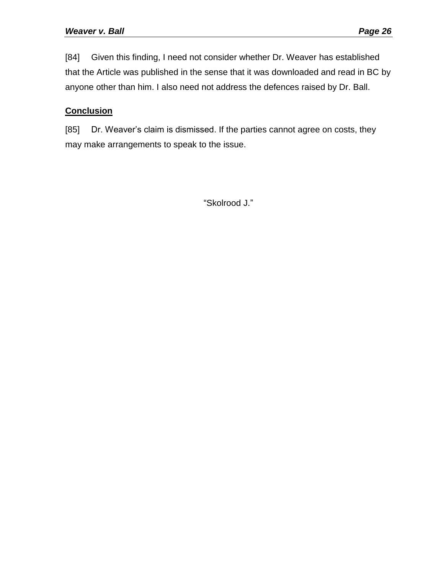[84] Given this finding, I need not consider whether Dr. Weaver has established that the Article was published in the sense that it was downloaded and read in BC by anyone other than him. I also need not address the defences raised by Dr. Ball.

# **Conclusion**

[85] Dr. Weaver's claim is dismissed. If the parties cannot agree on costs, they may make arrangements to speak to the issue.

"Skolrood J."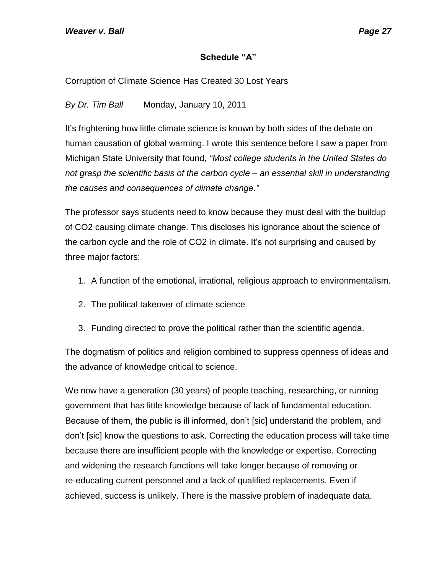# **Schedule "A"**

Corruption of Climate Science Has Created 30 Lost Years

*By Dr. Tim Ball* Monday, January 10, 2011

It's frightening how little climate science is known by both sides of the debate on human causation of global warming. I wrote this sentence before I saw a paper from Michigan State University that found, *"Most college students in the United States do not grasp the scientific basis of the carbon cycle – an essential skill in understanding the causes and consequences of climate change."*

The professor says students need to know because they must deal with the buildup of CO2 causing climate change. This discloses his ignorance about the science of the carbon cycle and the role of CO2 in climate. It's not surprising and caused by three major factors:

- 1. A function of the emotional, irrational, religious approach to environmentalism.
- 2. The political takeover of climate science
- 3. Funding directed to prove the political rather than the scientific agenda.

The dogmatism of politics and religion combined to suppress openness of ideas and the advance of knowledge critical to science.

We now have a generation (30 years) of people teaching, researching, or running government that has little knowledge because of lack of fundamental education. Because of them, the public is ill informed, don't [sic] understand the problem, and don't [sic] know the questions to ask. Correcting the education process will take time because there are insufficient people with the knowledge or expertise. Correcting and widening the research functions will take longer because of removing or re-educating current personnel and a lack of qualified replacements. Even if achieved, success is unlikely. There is the massive problem of inadequate data.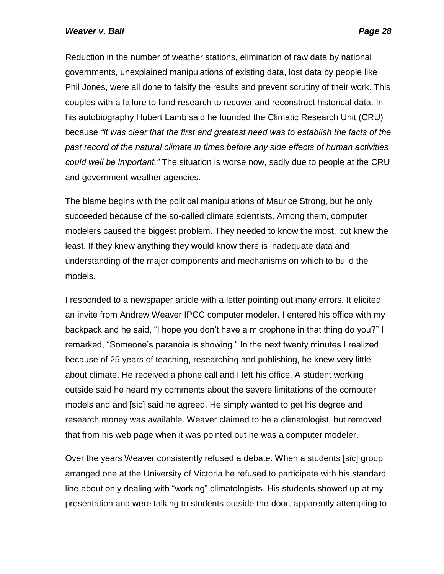Reduction in the number of weather stations, elimination of raw data by national governments, unexplained manipulations of existing data, lost data by people like Phil Jones, were all done to falsify the results and prevent scrutiny of their work. This couples with a failure to fund research to recover and reconstruct historical data. In his autobiography Hubert Lamb said he founded the Climatic Research Unit (CRU) because *"it was clear that the first and greatest need was to establish the facts of the past record of the natural climate in times before any side effects of human activities could well be important."* The situation is worse now, sadly due to people at the CRU and government weather agencies.

The blame begins with the political manipulations of Maurice Strong, but he only succeeded because of the so-called climate scientists. Among them, computer modelers caused the biggest problem. They needed to know the most, but knew the least. If they knew anything they would know there is inadequate data and understanding of the major components and mechanisms on which to build the models.

I responded to a newspaper article with a letter pointing out many errors. It elicited an invite from Andrew Weaver IPCC computer modeler. I entered his office with my backpack and he said, "I hope you don't have a microphone in that thing do you?" I remarked, "Someone's paranoia is showing." In the next twenty minutes I realized, because of 25 years of teaching, researching and publishing, he knew very little about climate. He received a phone call and I left his office. A student working outside said he heard my comments about the severe limitations of the computer models and and [sic] said he agreed. He simply wanted to get his degree and research money was available. Weaver claimed to be a climatologist, but removed that from his web page when it was pointed out he was a computer modeler.

Over the years Weaver consistently refused a debate. When a students [sic] group arranged one at the University of Victoria he refused to participate with his standard line about only dealing with "working" climatologists. His students showed up at my presentation and were talking to students outside the door, apparently attempting to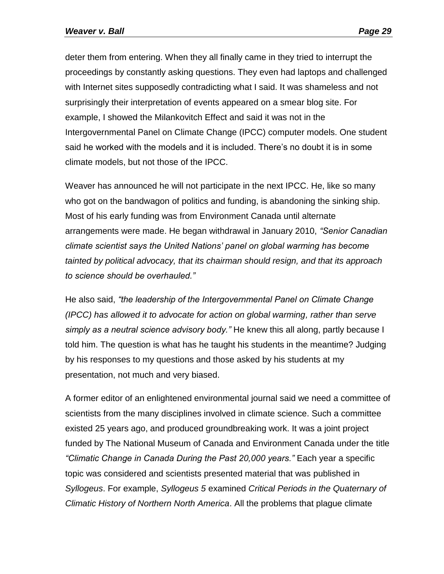deter them from entering. When they all finally came in they tried to interrupt the proceedings by constantly asking questions. They even had laptops and challenged with Internet sites supposedly contradicting what I said. It was shameless and not surprisingly their interpretation of events appeared on a smear blog site. For example, I showed the Milankovitch Effect and said it was not in the Intergovernmental Panel on Climate Change (IPCC) computer models. One student said he worked with the models and it is included. There's no doubt it is in some climate models, but not those of the IPCC.

Weaver has announced he will not participate in the next IPCC. He, like so many who got on the bandwagon of politics and funding, is abandoning the sinking ship. Most of his early funding was from Environment Canada until alternate arrangements were made. He began withdrawal in January 2010, *"Senior Canadian climate scientist says the United Nations' panel on global warming has become tainted by political advocacy, that its chairman should resign, and that its approach to science should be overhauled."*

He also said, *"the leadership of the Intergovernmental Panel on Climate Change (IPCC) has allowed it to advocate for action on global warming, rather than serve simply as a neutral science advisory body."* He knew this all along, partly because I told him. The question is what has he taught his students in the meantime? Judging by his responses to my questions and those asked by his students at my presentation, not much and very biased.

A former editor of an enlightened environmental journal said we need a committee of scientists from the many disciplines involved in climate science. Such a committee existed 25 years ago, and produced groundbreaking work. It was a joint project funded by The National Museum of Canada and Environment Canada under the title *"Climatic Change in Canada During the Past 20,000 years."* Each year a specific topic was considered and scientists presented material that was published in *Syllogeus*. For example, *Syllogeus 5* examined *Critical Periods in the Quaternary of Climatic History of Northern North America*. All the problems that plague climate